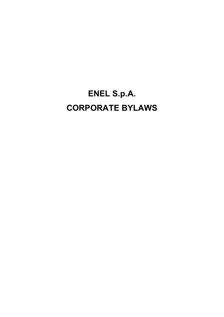# **ENEL S.p.A. CORPORATE BYLAWS**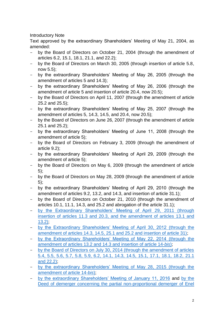# Introductory Note

Text approved by the extraordinary Shareholders' Meeting of May 21, 2004, as amended:

- by the Board of Directors on October 21, 2004 (through the amendment of articles 6.2, 15.1, 18.1, 21.1, and 22.2);
- by the Board of Directors on March 30, 2005 (through insertion of article 5.8, now 5.5);
- by the extraordinary Shareholders' Meeting of May 26, 2005 (through the amendment of articles 5 and 14.3);
- by the extraordinary Shareholders' Meeting of May 26, 2006 (through the amendment of article 5 and insertion of article 20.4, now 20.5);
- by the Board of Directors on April 11, 2007 (through the amendment of article 25.2 and 25.5);
- by the extraordinary Shareholders' Meeting of May 25, 2007 (through the amendment of articles 5, 14.3, 14.5, and 20.4, now 20.5);
- by the Board of Directors on June 26, 2007 (through the amendment of article 25.1 and 25.2);
- by the extraordinary Shareholders' Meeting of June 11, 2008 (through the amendment of article 5);
- by the Board of Directors on February 3, 2009 (through the amendment of article 9.2);
- by the extraordinary Shareholders' Meeting of April 29, 2009 (through the amendment of article 5);
- by the Board of Directors on May 6, 2009 (through the amendment of article 5);
- by the Board of Directors on May 28, 2009 (through the amendment of article 5);
- by the extraordinary Shareholders' Meeting of April 29, 2010 (through the amendment of articles 9.2, 13.2, and 14.3, and insertion of article 31.1);
- by the Board of Directors on October 21, 2010 (through the amendment of articles 10.1, 11.1, 14.3, and 25.2 and abrogation of the article 31.1);
- [by the Extraordinary Shareholders' Meeting of April 29,](https://www.enel.com/investors/shareholders-meeting/d/2011/minutes-of-the-meeting) 2011 (through insertion of articles [11.3 and 20.3, and the amendment of articles](https://www.enel.com/investors/shareholders-meeting/d/2011/minutes-of-the-meeting) 13.1 and  $13.2$
- [by the Extraordinary Shareholders' Meeting of April 30, 2012 \(through the](https://www.enel.com/investors/shareholders-meeting/d/2012/minutes-of-the-meeting)  [amendment of articles 14.3, 14.5, 25.1 and 25.2 and insertion of article 31\);](https://www.enel.com/investors/shareholders-meeting/d/2012/minutes-of-the-meeting)
- [by the Extraordinary Shareholders' Meeting of May 22, 2014 \(through the](https://www.enel.com/investors/shareholders-meeting/d/2014/minutes-of-the-meeting)  amendment of articles 13.2 [and 14.3 and insertion of article 14-](https://www.enel.com/investors/shareholders-meeting/d/2014/minutes-of-the-meeting)*bis*);
- [by the Board of Directors on July 30, 2014 \(through the amendment of articles](https://www.enel.com/investors/bylaws-rules-and-policies)  [5.4, 5.5, 5.6, 5.7, 5.8, 5.9, 6.2, 14.1, 14.3, 14.5, 15.1, 17.1, 18.1, 18.2, 21.1](https://www.enel.com/investors/bylaws-rules-and-policies)  and  $22.2$ )
- [by the extraordinary Shareholders' Meeting of May 28, 2015 \(through the](https://www.enel.com/investors/shareholders-meeting/d/2015/minutes-of-the-meeting)  [amendment of article 14-](https://www.enel.com/investors/shareholders-meeting/d/2015/minutes-of-the-meeting)*bis*);
- [by the extraordinary Shareholders' Meeting of January 11, 2016](https://www.enel.com/investors/shareholders-meeting/2016-extraordinary/minutes-of-the-meeting) and [by the](https://www.enel.com/investors/a/2016/08/enel_egp)  [Deed of demerger concerning the partial non-proportional demerger of Enel](https://www.enel.com/investors/a/2016/08/enel_egp)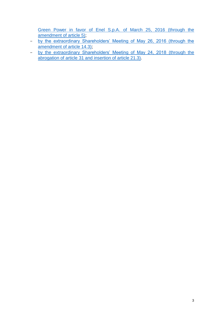[Green Power in favor of Enel S.p.A. of March](https://www.enel.com/investors/a/2016/08/enel_egp) 25, 2016 (through the [amendment of article 5\);](https://www.enel.com/investors/a/2016/08/enel_egp)

- [by the extraordinary Shareholders' Meeting of May 26, 2016 \(through the](https://www.enel.com/investors/shareholders-meeting/d/2016/minutes-of-the-meeting)  [amendment of article 14.3\);](https://www.enel.com/investors/shareholders-meeting/d/2016/minutes-of-the-meeting)
- by the extraordinary [Shareholders' Meeting of May 24, 2018](https://www.enel.com/investors/shareholders-meeting/d/2018/minutes-of-the-meeting) (through the abrogation of article [31 and insertion of article](https://www.enel.com/investors/shareholders-meeting/d/2018/minutes-of-the-meeting) 21.3).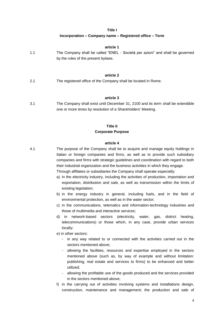#### **Title I**

#### **Incorporation – Company name – Registered office – Term**

|     | article 1                                                                                                             |
|-----|-----------------------------------------------------------------------------------------------------------------------|
| 1.1 | The Company shall be called "ENEL - Società per azioni" and shall be governed<br>by the rules of the present by laws. |
|     |                                                                                                                       |
|     | article 2                                                                                                             |
| 2.1 | The registered office of the Company shall be located in Rome.                                                        |

#### **article 3**

3.1 The Company shall exist until December 31, 2100 and its term shall be extendible one or more times by resolution of a Shareholders' Meeting.

# **Title II Corporate Purpose**

### **article 4**

4.1 The purpose of the Company shall be to acquire and manage equity holdings in Italian or foreign companies and firms, as well as to provide such subsidiary companies and firms with strategic guidelines and coordination with regard to both their industrial organization and the business activities in which they engage.

Through affiliates or subsidiaries the Company shall operate especially:

- a) in the electricity industry, including the activities of production, importation and exportation, distribution and sale, as well as transmission within the limits of existing legislation;
- b) in the energy industry in general, including fuels, and in the field of environmental protection, as well as in the water sector;
- c) in the communications, telematics and information-technology industries and those of multimedia and interactive services;
- d) in network-based sectors (electricity, water, gas, district heating, telecommunications) or those which, in any case, provide urban services locally;

e) in other sectors:

- in any way related to or connected with the activities carried out in the sectors mentioned above;
- allowing the facilities, resources and expertise employed in the sectors mentioned above (such as, by way of example and without limitation: publishing, real estate and services to firms) to be enhanced and better utilized;
- allowing the profitable use of the goods produced and the services provided in the sectors mentioned above;
- f) in the carrying out of activities involving systems and installations design, construction, maintenance and management; the production and sale of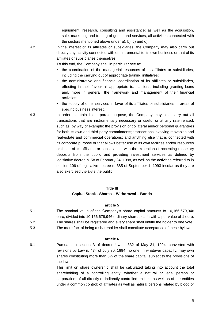equipment; research, consulting and assistance; as well as the acquisition, sale, marketing and trading of goods and services, all activities connected with the sectors mentioned above under a), b), c) and d).

4.2 In the interest of its affiliates or subsidiaries, the Company may also carry out directly any activity connected with or instrumental to its own business or that of its affiliates or subsidiaries themselves.

To this end, the Company shall in particular see to:

- the coordination of the managerial resources of its affiliates or subsidiaries, including the carrying out of appropriate training initiatives;
- the administrative and financial coordination of its affiliates or subsidiaries, effecting in their favour all appropriate transactions, including granting loans and, more in general, the framework and management of their financial activities;
- the supply of other services in favor of its affiliates or subsidiaries in areas of specific business interest.

4.3 In order to attain its corporate purpose, the Company may also carry out all transactions that are instrumentally necessary or useful or at any rate related, such as, by way of example: the provision of collateral and/or personal guarantees for both its own and third-party commitments; transactions involving movables and real-estate and commercial operations; and anything else that is connected with its corporate purpose or that allows better use of its own facilities and/or resources or those of its affiliates or subsidiaries, with the exception of accepting monetary deposits from the public and providing investment services as defined by legislative decree n. 58 of February 24, 1998, as well as the activities referred to in section 106 of legislative decree n. 385 of September 1, 1993 insofar as they are also exercised vis-à-vis the public.

## **Title III**

## **Capital Stock - Shares – Withdrawal – Bonds**

## **article 5**

- 5.1 The nominal value of the Company's share capital amounts to 10,166,679,946 euro, divided into 10,166,679,946 ordinary shares, each with a par value of 1 euro. 5.2 The shares shall be registered and every share shall entitle the holder to one vote.
- 5.3 The mere fact of being a shareholder shall constitute acceptance of these bylaws.

#### **article 6**

6.1 Pursuant to section 3 of decree-law n. 332 of May 31, 1994, converted with revisions by Law n. 474 of July 30, 1994, no one, in whatever capacity, may own shares constituting more than 3% of the share capital, subject to the provisions of the law.

> This limit on share ownership shall be calculated taking into account the total shareholding of a controlling entity, whether a natural or legal person or corporation; of all directly or indirectly controlled entities, as well as of the entities under a common control; of affiliates as well as natural persons related by blood or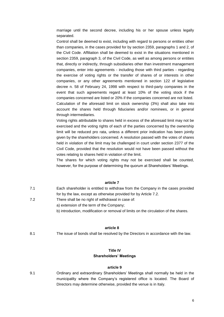marriage until the second decree, including his or her spouse unless legally separated.

Control shall be deemed to exist, including with regard to persons or entities other than companies, in the cases provided for by section 2359, paragraphs 1 and 2, of the Civil Code. Affiliation shall be deemed to exist in the situations mentioned in section 2359, paragraph 3, of the Civil Code, as well as among persons or entities that, directly or indirectly, through subsidiaries other than investment management companies, enter into agreements - including those with third parties - regarding the exercise of voting rights or the transfer of shares of or interests in other companies, or any other agreements mentioned in section 122 of legislative decree n. 58 of February 24, 1998 with respect to third-party companies in the event that such agreements regard at least 10% of the voting stock if the companies concerned are listed or 20% if the companies concerned are not listed. Calculation of the aforesaid limit on stock ownership (3%) shall also take into account the shares held through fiduciaries and/or nominees, or in general through intermediaries.

Voting rights attributable to shares held in excess of the aforesaid limit may not be exercised and the voting rights of each of the parties concerned by the ownership limit will be reduced pro rata, unless a different prior indication has been jointly given by the shareholders concerned. A resolution passed with the votes of shares held in violation of the limit may be challenged in court under section 2377 of the Civil Code, provided that the resolution would not have been passed without the votes relating to shares held in violation of the limit.

The shares for which voting rights may not be exercised shall be counted, however, for the purpose of determining the quorum at Shareholders' Meetings.

#### **article 7**

- 7.1 Each shareholder is entitled to withdraw from the Company in the cases provided for by the law, except as otherwise provided for by Article 7.2.
- 7.2 There shall be no right of withdrawal in case of:
	- a) extension of the term of the Company;
	- b) introduction, modification or removal of limits on the circulation of the shares.

## **article 8**

8.1 The issue of bonds shall be resolved by the Directors in accordance with the law.

#### **Title IV**

#### **Shareholders' Meetings**

#### **article 9**

9.1 Ordinary and extraordinary Shareholders' Meetings shall normally be held in the municipality where the Company's registered office is located. The Board of Directors may determine otherwise, provided the venue is in Italy.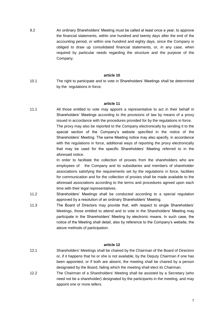9.2 An ordinary Shareholders' Meeting must be called at least once a year, to approve the financial statements, within one hundred and twenty days after the end of the accounting period, or within one hundred and eighty days, since the Company is obliged to draw up consolidated financial statements, or, in any case, when required by particular needs regarding the structure and the purpose of the Company.

#### **article 10**

10.1 The right to participate and to vote in Shareholders' Meetings shall be determined by the regulations in force.

#### **article 11**

11.1 All those entitled to vote may appoint a representative to act in their behalf in Shareholders' Meetings according to the provisions of law by means of a proxy issued in accordance with the procedures provided for by the regulations in force. The proxy may also be reported to the Company electronically by sending it to the special section of the Company's website specified in the notice of the Shareholders' Meeting. The same Meeting notice may also specify, in accordance with the regulations in force, additional ways of reporting the proxy electronically that may be used for the specific Shareholders' Meeting referred to in the aforesaid notice.

> In order to facilitate the collection of proxies from the shareholders who are employees of the Company and its subsidiaries and members of shareholder associations satisfying the requirements set by the regulations in force, facilities for communication and for the collection of proxies shall be made available to the aforesaid associations according to the terms and procedures agreed upon each time with their legal representatives.

- 11.2 Shareholders' Meetings shall be conducted according to a special regulation approved by a resolution of an ordinary Shareholders' Meeting.
- 11.3 The Board of Directors may provide that, with respect to single Shareholders' Meetings, those entitled to attend and to vote in the Shareholders' Meeting may participate in the Shareholders' Meeting by electronic means. In such case, the notice of the Meeting shall detail, also by reference to the Company's website, the above methods of participation.

# **article 12**

- 12.1 Shareholders' Meetings shall be chaired by the Chairman of the Board of Directors or, if it happens that he or she is not available, by the Deputy Chairman if one has been appointed, or if both are absent, the meeting shall be chaired by a person designated by the Board, failing which the meeting shall elect its Chairman.
- 12.2 The Chairman of a Shareholders' Meeting shall be assisted by a Secretary (who need not be a shareholder) designated by the participants in the meeting, and may appoint one or more tellers.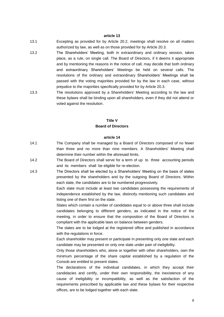#### **article 13**

- 13.1 Excepting as provided for by Article 20.2, meetings shall resolve on all matters authorized by law, as well as on those provided for by Article 20.3.
- 13.2 The Shareholders' Meeting, both in extraordinary and ordinary session, takes place, as a rule, on single call. The Board of Directors, if it deems it appropriate and by mentioning the reasons in the notice of call, may decide that both ordinary and extraordinary Shareholders' Meetings be held on several calls. The resolutions of the ordinary and extraordinary Shareholders' Meetings shall be passed with the voting majorities provided for by the law in each case, without prejudice to the majorities specifically provided for by Article 20.3.
- 13.3 The resolutions approved by a Shareholders' Meeting according to the law and these bylaws shall be binding upon all shareholders, even if they did not attend or voted against the resolution.

# **Title V Board of Directors**

#### **article 14**

- 14.1 The Company shall be managed by a Board of Directors composed of no fewer than three and no more than nine members. A Shareholders' Meeting shall determine their number within the aforesaid limits.
- 14.2 The Board of Directors shall serve for a term of up to three accounting periods and its members shall be eligible for re-election.
- 14.3 The Directors shall be elected by a Shareholders' Meeting on the basis of slates presented by the shareholders and by the outgoing Board of Directors. Within each slate, the candidates are to be numbered progressively.

Each slate must include at least two candidates possessing the requirements of independence established by the law, distinctly mentioning such candidates and listing one of them first on the slate.

Slates which contain a number of candidates equal to or above three shall include candidates belonging to different genders, as indicated in the notice of the meeting, in order to ensure that the composition of the Board of Directors is compliant with the applicable laws on balance between genders.

The slates are to be lodged at the registered office and published in accordance with the regulations in force.

Each shareholder may present or participate in presenting only one slate and each candidate may be presented on only one slate under pain of ineligibility.

Only those shareholders who, alone or together with other shareholders, own the minimum percentage of the share capital established by a regulation of the Consob are entitled to present slates.

The declarations of the individual candidates, in which they accept their candidacies and certify, under their own responsibility, the inexistence of any cause of ineligibility or incompatibility, as well as the satisfaction of the requirements prescribed by applicable law and these bylaws for their respective offices, are to be lodged together with each slate.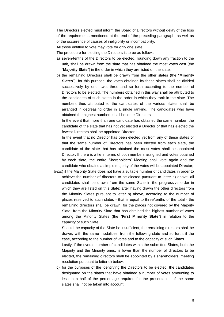The Directors elected must inform the Board of Directors without delay of the loss of the requirements mentioned at the end of the preceding paragraph, as well as of the occurrence of causes of ineligibility or incompatibility.

All those entitled to vote may vote for only one slate.

The procedure for electing the Directors is to be as follows:

- a) seven-tenths of the Directors to be elected, rounding down any fraction to the unit, shall be drawn from the slate that has obtained the most votes cast (the "**Majority Slate**") in the order in which they are listed on the slate;
- b) the remaining Directors shall be drawn from the other slates (the "**Minority Slates**"); for this purpose, the votes obtained by these slates shall be divided successively by one, two, three and so forth according to the number of Directors to be elected. The numbers obtained in this way shall be attributed to the candidates of such slates in the order in which they rank in the slate. The numbers thus attributed to the candidates of the various slates shall be arranged in decreasing order in a single ranking. The candidates who have obtained the highest numbers shall become Directors.

In the event that more than one candidate has obtained the same number, the candidate of the slate that has not yet elected a Director or that has elected the fewest Directors shall be appointed Director.

In the event that no Director has been elected yet from any of these slates or that the same number of Directors has been elected from each slate, the candidate of the slate that has obtained the most votes shall be appointed Director. If there is a tie in terms of both numbers assigned and votes obtained by each slate, the entire Shareholders' Meeting shall vote again and the candidate who obtains a simple majority of the votes will be appointed Director;

b-*bis*) if the Majority Slate does not have a suitable number of candidates in order to achieve the number of directors to be elected pursuant to letter a) above, all candidates shall be drawn from the same Slate in the progressive order in which they are listed on this Slate; after having drawn the other directors from the Minority Slates pursuant to letter b) above, according to the number of places reserved to such slates - that is equal to three/tenths of the total - the remaining directors shall be drawn, for the places not covered by the Majority Slate, from the Minority Slate that has obtained the highest number of votes among the Minority Slates (the "**First Minority Slate**") in relation to the capacity of such Slate.

Should the capacity of the Slate be insufficient, the remaining directors shall be drawn, with the same modalities, from the following slate and so forth, if the case, according to the number of votes and to the capacity of such Slates.

Lastly, if the overall number of candidates within the submitted Slates, both the Majority and the Minority ones, is lower than the number of directors to be elected, the remaining directors shall be appointed by a shareholders' meeting resolution pursuant to letter d) below;

c) for the purposes of the identifying the Directors to be elected, the candidates designated on the slates that have obtained a number of votes amounting to less than half of the percentage required for the presentation of the same slates shall not be taken into account;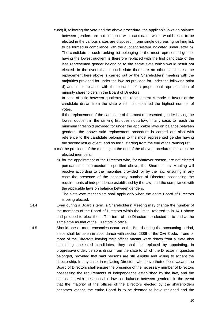c-*bis*) if, following the vote and the above procedure, the applicable laws on balance between genders are not complied with, candidates which would result to be elected in the various slates are disposed in one single decreasing ranking list, to be formed in compliance with the quotient system indicated under letter b). The candidate in such ranking list belonging to the most represented gender having the lowest quotient is therefore replaced with the first candidate of the less represented gender belonging to the same slate which would result not elected. In the event that in such slate there are no other candidates, the replacement here above is carried out by the Shareholders' meeting with the majorities provided for under the law, as provided for under the following point d) and in compliance with the principle of a proportional representation of minority shareholders in the Board of Directors.

In case of a tie between quotients, the replacement is made in favour of the candidate drawn from the slate which has obtained the highest number of votes.

If the replacement of the candidate of the most represented gender having the lowest quotient in the ranking list does not allow, in any case, to reach the minimum threshold provided for under the applicable laws on balance between genders, the above said replacement procedure is carried out also with reference to the candidate belonging to the most represented gender having the second last quotient, and so forth, starting from the end of the ranking list.

- c-*ter*) the president of the meeting, at the end of the above procedures, declares the elected members;
	- d) for the appointment of the Directors who, for whatever reason, are not elected pursuant to the procedures specified above, the Shareholders' Meeting will resolve according to the majorities provided for by the law, ensuring in any case the presence of the necessary number of Directors possessing the requirements of independence established by the law, and the compliance with the applicable laws on balance between genders.

The slate-vote mechanism shall apply only when the entire Board of Directors is being elected.

- 14.4 Even during a Board's term, a Shareholders' Meeting may change the number of the members of the Board of Directors within the limits referred to in 14.1 above and proceed to elect them. The term of the Directors so elected is to end at the same time as that of the Directors in office.
- 14.5 Should one or more vacancies occur on the Board during the accounting period, steps shall be taken in accordance with section 2386 of the Civil Code. If one or more of the Directors leaving their offices vacant were drawn from a slate also containing unelected candidates, they shall be replaced by appointing, in progressive order, persons drawn from the slate to which the Director in question belonged, provided that said persons are still eligible and willing to accept the directorship. In any case, in replacing Directors who leave their offices vacant, the Board of Directors shall ensure the presence of the necessary number of Directors possessing the requirements of independence established by the law, and the compliance with the applicable laws on balance between genders. In the event that the majority of the offices of the Directors elected by the shareholders becomes vacant, the entire Board is to be deemed to have resigned and the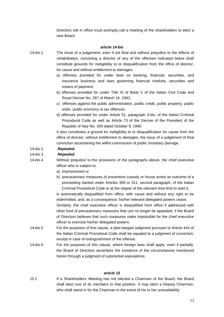Directors still in office must promptly call a meeting of the shareholders to elect a new Board.

### **article 14-***bis*

- 14-*bis*.1 The issue of a judgement, even if not final and without prejudice to the effects of rehabilitation, convicting a director of any of the offenses indicated below shall constitute grounds for ineligibility to or disqualification from the office of director, for cause and without entitlement to damages:
	- a) offenses provided for under laws on banking, financial, securities, and insurance business and laws governing financial markets, securities and means of payment,
	- b) offenses provided for under Title XI of Book V of the Italian Civil Code and Royal Decree No. 267 of March 16, 1942,
	- c) offenses against the public administration, public credit, public property, public order, public economy or tax offences,
	- d) offenses provided for under Article 51, paragraph 3-bis, of the Italian Criminal Procedural Code as well as Article 73 of the Decree of the President of the Republic of Italy No. 309 dated October 9, 1990.

It also constitutes a ground for ineligibility to or disqualification for cause from the office of director, without entitlement to damages, the issue of a judgement of final conviction ascertaining the willful commission of public monetary damage.

# 14-*bis*.2. *Repealed.*

# 14-*bis*.3 *Repealed.*

- 14-*bis*.4 Without prejudice to the provisions of the paragraphs above, the chief executive officer who is subject to:
	- a) imprisonment or
	- b) precautionary measures of preventive custody or house arrest as outcome of a proceeding started under Articles 309 or 311, second paragraph, of the Italian Criminal Procedural Code or at the elapse of the relevant time limit to start it,

is automatically disqualified from office, with cause and without any right to be indemnified, and, as a consequence, his/her relevant delegated powers cease. Similarly, the chief executive officer is disqualified from office if addressed with

other kind of precautionary measures that can no longer be appealed, if the Board of Directors believes that such measures make impossible for the chief executive officer to exercise his/her delegated powers.

- 14-*bis*.5 For the purposes of this clause, a plea bargain judgment pursuant to Article 444 of the Italian Criminal Procedural Code shall be equated to a judgment of conviction, except in case of extinguishment of the offense.
- 14-*bis*.6 For the purposes of this clause, where foreign laws shall apply, even if partially, the Board of Directors ascertains the existence of the circumstances mentioned herein through a judgment of substantial equivalence.

#### **article 15**

15.1 If a Shareholders' Meeting has not elected a Chairman of the Board, the Board shall elect one of its members to that position. It may elect a Deputy Chairman, who shall stand in for the Chairman in the event of his or her unavailability.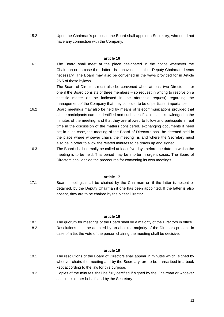15.2 Upon the Chairman's proposal, the Board shall appoint a Secretary, who need not have any connection with the Company.

#### **article 16**

16.1 The Board shall meet at the place designated in the notice whenever the Chairman or, in case the latter is unavailable, the Deputy Chairman deems necessary. The Board may also be convened in the ways provided for in Article 25.5 of these bylaws. The Board of Directors must also be convened when at least two Directors – or

one if the Board consists of three members – so request in writing to resolve on a specific matter (to be indicated in the aforesaid request) regarding the management of the Company that they consider to be of particular importance.

- 16.2 Board meetings may also be held by means of telecommunications provided that all the participants can be identified and such identification is acknowledged in the minutes of the meeting, and that they are allowed to follow and participate in real time in the discussion of the matters considered, exchanging documents if need be; in such case, the meeting of the Board of Directors shall be deemed held in the place where whoever chairs the meeting is and where the Secretary must also be in order to allow the related minutes to be drawn up and signed.
- 16.3 The Board shall normally be called at least five days before the date on which the meeting is to be held. This period may be shorter in urgent cases. The Board of Directors shall decide the procedures for convening its own meetings.

#### **article 17**

17.1 Board meetings shall be chaired by the Chairman or, if the latter is absent or detained, by the Deputy Chairman if one has been appointed. If the latter is also absent, they are to be chaired by the oldest Director.

#### **article 18**

18.1 The quorum for meetings of the Board shall be a majority of the Directors in office. 18.2 Resolutions shall be adopted by an absolute majority of the Directors present; in case of a tie, the vote of the person chairing the meeting shall be decisive.

#### **article 19**

- 19.1 The resolutions of the Board of Directors shall appear in minutes which, signed by whoever chairs the meeting and by the Secretary, are to be transcribed in a book kept according to the law for this purpose.
- 19.2 Copies of the minutes shall be fully certified if signed by the Chairman or whoever acts in his or her behalf, and by the Secretary.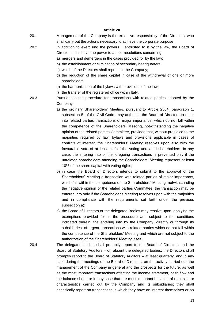#### **article 20**

- 20.1 Management of the Company is the exclusive responsibility of the Directors, who shall carry out the actions necessary to achieve the corporate purpose.
- 20.2 In addition to exercising the powers entrusted to it by the law, the Board of Directors shall have the power to adopt resolutions concerning:
	- a) mergers and demergers in the cases provided for by the law;
	- b) the establishment or elimination of secondary headquarters;
	- c) which of the Directors shall represent the Company;
	- d) the reduction of the share capital in case of the withdrawal of one or more shareholders;
	- e) the harmonization of the bylaws with provisions of the law;
	- f) the transfer of the registered office within Italy.
- 20.3 Pursuant to the procedure for transactions with related parties adopted by the Company:
	- a) the ordinary Shareholders' Meeting, pursuant to Article 2364, paragraph 1, subsection 5, of the Civil Code, may authorize the Board of Directors to enter into related parties transactions of major importance, which do not fall within the competence of the Shareholders' Meeting, notwithstanding the negative opinion of the related parties Committee, provided that, without prejudice to the majorities required by law, bylaws and provisions applicable in cases of conflicts of interest, the Shareholders' Meeting resolves upon also with the favourable vote of at least half of the voting unrelated shareholders. In any case, the entering into of the foregoing transactions is prevented only if the unrelated shareholders attending the Shareholders' Meeting represent at least 10% of the share capital with voting rights;
	- b) in case the Board of Directors intends to submit to the approval of the Shareholders' Meeting a transaction with related parties of major importance, which fall within the competence of the Shareholders' Meeting, notwithstanding the negative opinion of the related parties Committee, the transaction may be entered into only if the Shareholder's Meeting resolves upon with the majorities and in compliance with the requirements set forth under the previous subsection a);
	- c) the Board of Directors or the delegated Bodies may resolve upon, applying the exemptions provided for in the procedure and subject to the conditions indicated therein, the entering into by the Company, directly or through its subsidiaries, of urgent transactions with related parties which do not fall within the competence of the Shareholders' Meeting and which are not subject to the authorization of the Shareholders' Meeting itself.
- 20.4 The delegated bodies shall promptly report to the Board of Directors and the Board of Statutory Auditors – or, absent the delegated bodies, the Directors shall promptly report to the Board of Statutory Auditors – at least quarterly, and in any case during the meetings of the Board of Directors, on the activity carried out, the management of the Company in general and the prospects for the future, as well as the most important transactions affecting the income statement, cash flow and the balance sheet, or in any case that are most important because of their size or characteristics carried out by the Company and its subsidiaries; they shall specifically report on transactions in which they have an interest themselves or on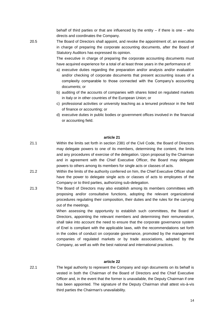behalf of third parties or that are influenced by the entity  $-$  if there is one  $-$  who directs and coordinates the Company.

20.5 The Board of Directors shall appoint, and revoke the appointment of, an executive in charge of preparing the corporate accounting documents, after the Board of Statutory Auditors has expressed its opinion.

> The executive in charge of preparing the corporate accounting documents must have acquired experience for a total of at least three years in the performance of:

- a) executive duties regarding the preparation and/or analysis and/or evaluation and/or checking of corporate documents that present accounting issues of a complexity comparable to those connected with the Company's accounting documents; or
- b) auditing of the accounts of companies with shares listed on regulated markets in Italy or in other countries of the European Union; or
- c) professional activities or university teaching as a tenured professor in the field of finance or accounting; or
- d) executive duties in public bodies or government offices involved in the financial or accounting field.

#### **article 21**

- 21.1 Within the limits set forth in section 2381 of the Civil Code, the Board of Directors may delegate powers to one of its members, determining the content, the limits and any procedures of exercise of the delegation. Upon proposal by the Chairman and in agreement with the Chief Executive Officer, the Board may delegate powers to others among its members for single acts or classes of acts.
- 21.2 Within the limits of the authority conferred on him, the Chief Executive Officer shall have the power to delegate single acts or classes of acts to employees of the Company or to third parties, authorizing sub-delegation.
- 21.3 The Board of Directors may also establish among its members committees with proposing and/or consultative functions, adopting the relevant organizational procedures regulating their composition, their duties and the rules for the carrying out of the meetings.

When assessing the opportunity to establish such committees, the Board of Directors, appointing the relevant members and determining their remuneration, shall take into account the need to ensure that the corporate governance system of Enel is compliant with the applicable laws, with the recommendations set forth in the codes of conduct on corporate governance, promoted by the management companies of regulated markets or by trade associations, adopted by the Company, as well as with the best national and international practices.

#### **article 22**

22.1 The legal authority to represent the Company and sign documents on its behalf is vested in both the Chairman of the Board of Directors and the Chief Executive Officer and, in the event that the former is unavailable, the Deputy Chairman if one has been appointed. The signature of the Deputy Chairman shall attest vis-à-vis third parties the Chairman's unavailability.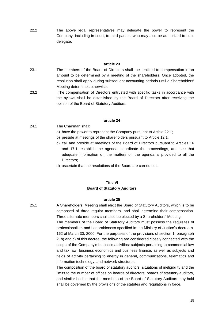22.2 The above legal representatives may delegate the power to represent the Company, including in court, to third parties, who may also be authorized to subdelegate.

## **article 23**

- 23.1 The members of the Board of Directors shall be entitled to compensation in an amount to be determined by a meeting of the shareholders. Once adopted, the resolution shall apply during subsequent accounting periods until a Shareholders' Meeting determines otherwise.
- 23.2 The compensation of Directors entrusted with specific tasks in accordance with the bylaws shall be established by the Board of Directors after receiving the opinion of the Board of Statutory Auditors.

## **article 24**

- 24.1 The Chairman shall:
	- a) have the power to represent the Company pursuant to Article 22.1;
	- b) preside at meetings of the shareholders pursuant to Article 12.1;
	- c) call and preside at meetings of the Board of Directors pursuant to Articles 16 and 17.1, establish the agenda, coordinate the proceedings, and see that adequate information on the matters on the agenda is provided to all the Directors;
	- d) ascertain that the resolutions of the Board are carried out.

# **Title VI Board of Statutory Auditors**

# **article 25**

25.1 A Shareholders' Meeting shall elect the Board of Statutory Auditors, which is to be composed of three regular members, and shall determine their compensation. Three alternate members shall also be elected by a Shareholders' Meeting.

> The members of the Board of Statutory Auditors must possess the requisites of professionalism and honorableness specified in the Ministry of Justice's decree n. 162 of March 30, 2000. For the purposes of the provisions of section 1, paragraph 2, b) and c) of this decree, the following are considered closely connected with the scope of the Company's business activities: subjects pertaining to commercial law and tax law, business economics and business finance, as well as subjects and fields of activity pertaining to energy in general, communications, telematics and information technology, and network structures.

> The composition of the board of statutory auditors, situations of ineligibility and the limits to the number of offices on boards of directors, boards of statutory auditors, and similar bodies that the members of the Board of Statutory Auditors may hold shall be governed by the provisions of the statutes and regulations in force.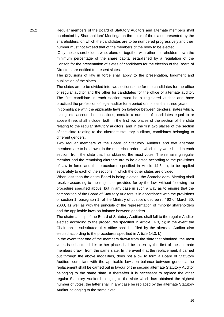25.2 Regular members of the Board of Statutory Auditors and alternate members shall be elected by Shareholders' Meetings on the basis of the slates presented by the shareholders, on which the candidates are to be numbered progressively and their number must not exceed that of the members of the body to be elected.

> Only those shareholders who, alone or together with other shareholders, own the minimum percentage of the share capital established by a regulation of the Consob for the presentation of slates of candidates for the election of the Board of Directors are entitled to present slates.

> The provisions of law in force shall apply to the presentation, lodgment and publication of the slates.

> The slates are to be divided into two sections: one for the candidates for the office of regular auditor and the other for candidates for the office of alternate auditor. The first candidate in each section must be a registered auditor and have practiced the profession of legal auditor for a period of no less than three years.

> In compliance with the applicable laws on balance between genders, slates which, taking into account both sections, contain a number of candidates equal to or above three, shall include, both in the first two places of the section of the slate relating to the regular statutory auditors, and in the first two places of the section of the slate relating to the alternate statutory auditors, candidates belonging to different genders.

> Two regular members of the Board of Statutory Auditors and two alternate members are to be drawn, in the numerical order in which they were listed in each section, from the slate that has obtained the most votes. The remaining regular member and the remaining alternate are to be elected according to the provisions of law in force and the procedures specified in Article 14.3, b), to be applied separately to each of the sections in which the other slates are divided.

> When less than the entire Board is being elected, the Shareholders' Meeting shall resolve according to the majorities provided for by the law, without following the procedure specified above, but in any case in such a way as to ensure that the composition of the Board of Statutory Auditors is in accordance with the provisions of section 1, paragraph 1, of the Ministry of Justice's decree n. 162 of March 30, 2000, as well as with the principle of the representation of minority shareholders and the applicable laws on balance between genders.

> The chairmanship of the Board of Statutory Auditors shall fall to the regular Auditor elected according to the procedures specified in Article 14.3, b); in the event the Chairman is substituted, this office shall be filled by the alternate Auditor also elected according to the procedures specified in Article 14.3, b).

> In the event that one of the members drawn from the slate that obtained the most votes is substituted, his or her place shall be taken by the first of the alternate members drawn from the same slate. In the event that the replacement, if carried out through the above modalities, does not allow to form a Board of Statutory Auditors compliant with the applicable laws on balance between genders, the replacement shall be carried out in favour of the second alternate Statutory Auditor belonging to the same slate. If thereafter it is necessary to replace the other regular Statutory Auditor belonging to the slate which has obtained the highest number of votes, the latter shall in any case be replaced by the alternate Statutory Auditor belonging to the same slate.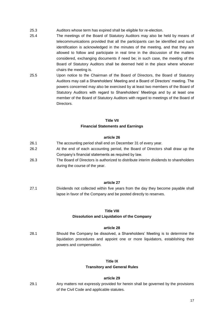- 25.3 Auditors whose term has expired shall be eligible for re-election.
- 25.4 The meetings of the Board of Statutory Auditors may also be held by means of telecommunications provided that all the participants can be identified and such identification is acknowledged in the minutes of the meeting, and that they are allowed to follow and participate in real time in the discussion of the matters considered, exchanging documents if need be; in such case, the meeting of the Board of Statutory Auditors shall be deemed held in the place where whoever chairs the meeting is.
- 25.5 Upon notice to the Chairman of the Board of Directors, the Board of Statutory Auditors may call a Shareholders' Meeting and a Board of Directors' meeting. The powers concerned may also be exercised by at least two members of the Board of Statutory Auditors with regard to Shareholders' Meetings and by at least one member of the Board of Statutory Auditors with regard to meetings of the Board of Directors.

# **Title VII Financial Statements and Earnings**

## **article 26**

- 26.1 The accounting period shall end on December 31 of every year.
- 26.2 At the end of each accounting period, the Board of Directors shall draw up the Company's financial statements as required by law.
- 26.3 The Board of Directors is authorized to distribute interim dividends to shareholders during the course of the year.

#### **article 27**

27.1 Dividends not collected within five years from the day they become payable shall lapse in favor of the Company and be posted directly to reserves.

#### **Title VIII**

# **Dissolution and Liquidation of the Company**

## **article 28**

28.1 Should the Company be dissolved, a Shareholders' Meeting is to determine the liquidation procedures and appoint one or more liquidators, establishing their powers and compensation.

# **Title IX**

# **Transitory and General Rules**

# **article 29**

29.1 Any matters not expressly provided for herein shall be governed by the provisions of the Civil Code and applicable statutes.